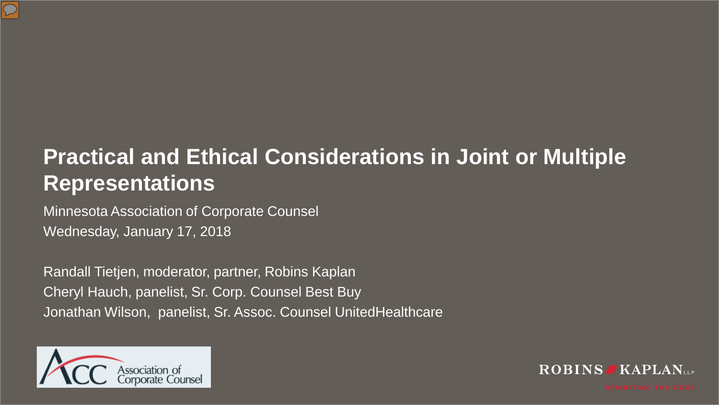

### **Practical and Ethical Considerations in Joint or Multiple Representations**

Minnesota Association of Corporate Counsel Wednesday, January 17, 2018

Randall Tietjen, moderator, partner, Robins Kaplan Cheryl Hauch, panelist, Sr. Corp. Counsel Best Buy Jonathan Wilson, panelist, Sr. Assoc. Counsel UnitedHealthcare



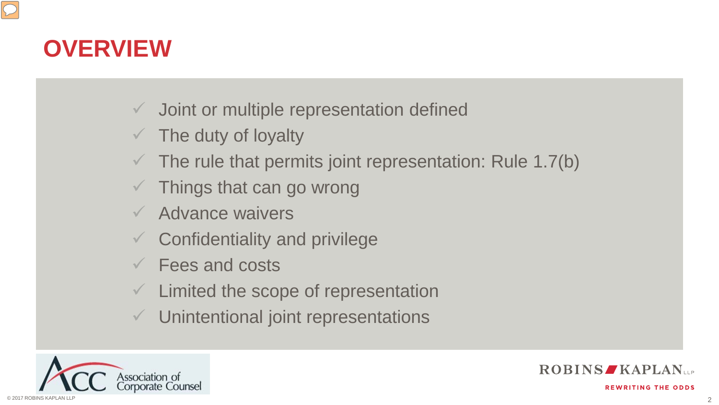### **OVERVIEW**

- $\checkmark$  Joint or multiple representation defined
- The duty of loyalty
- The rule that permits joint representation: Rule 1.7(b)
- Things that can go wrong
- Advance waivers
- Confidentiality and privilege
- Fees and costs
- Limited the scope of representation
- Unintentional joint representations





**REWRITING THE ODDS** 

2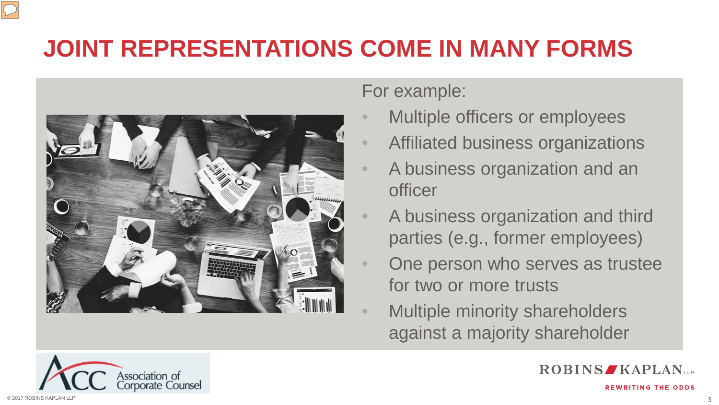# **JOINT REPRESENTATIONS COME IN MANY FORMS**



#### For example:

- Multiple officers or employees
- Affiliated business organizations
- A business organization and an officer
- A business organization and third parties (e.g., former employees)
- One person who serves as trustee for two or more trusts
- Multiple minority shareholders against a majority shareholder



**ROBINS KAPLAN**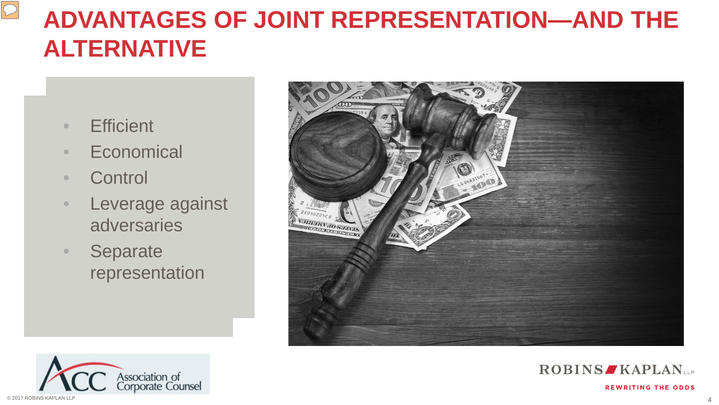# **ADVANTAGES OF JOINT REPRESENTATION—AND THE ALTERNATIVE**

• Efficient • Efficient

 $\boxed{\bigcirc}$ 

- Economical Economical
- Control Control
- Leverage against Leverage against adversaries adversaries
- Separate Separate representation representation







**REWRITING THE ODDS**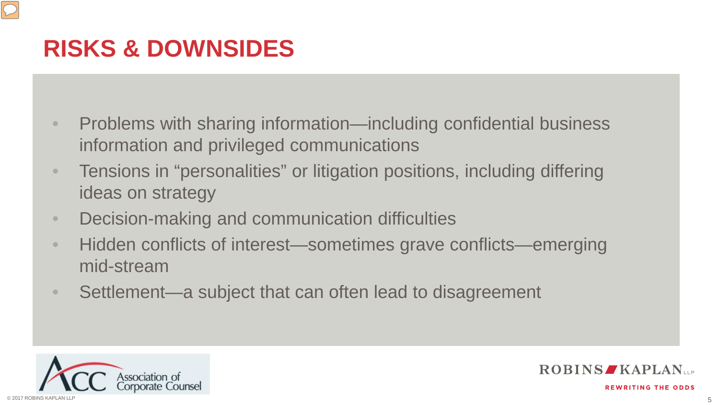## **RISKS & DOWNSIDES**

- Problems with sharing information—including confidential business information and privileged communications
- Tensions in "personalities" or litigation positions, including differing ideas on strategy
- Decision-making and communication difficulties
- Hidden conflicts of interest—sometimes grave conflicts—emerging mid-stream
- Settlement—a subject that can often lead to disagreement





**REWRITING THE ODDS** 

5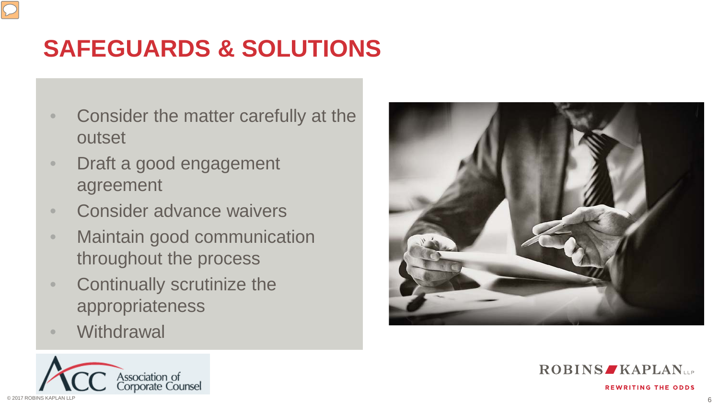# **SAFEGUARDS & SOLUTIONS**

- Consider the matter carefully at the outset
- Draft a good engagement agreement
- Consider advance waivers
- Maintain good communication throughout the process
- Continually scrutinize the appropriateness
- Withdrawal







**REWRITING THE ODDS**